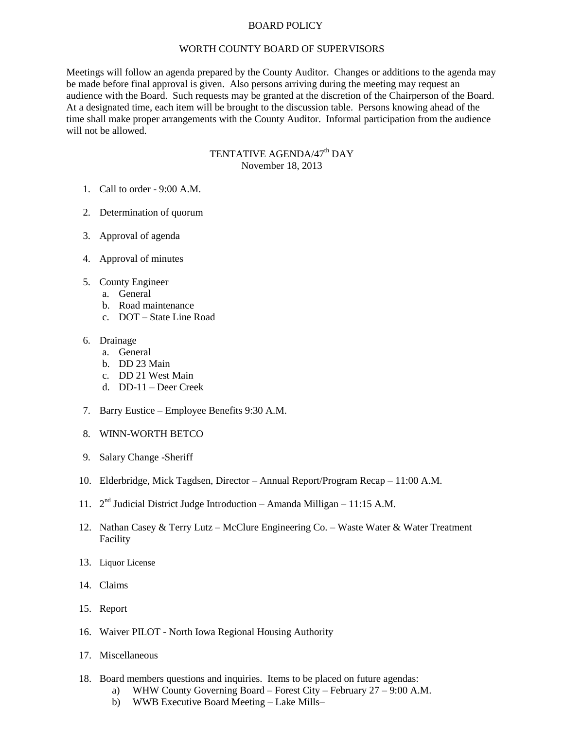## BOARD POLICY

## WORTH COUNTY BOARD OF SUPERVISORS

Meetings will follow an agenda prepared by the County Auditor. Changes or additions to the agenda may be made before final approval is given. Also persons arriving during the meeting may request an audience with the Board. Such requests may be granted at the discretion of the Chairperson of the Board. At a designated time, each item will be brought to the discussion table. Persons knowing ahead of the time shall make proper arrangements with the County Auditor. Informal participation from the audience will not be allowed.

## TENTATIVE AGENDA/47<sup>th</sup> DAY November 18, 2013

- 1. Call to order 9:00 A.M.
- 2. Determination of quorum
- 3. Approval of agenda
- 4. Approval of minutes
- 5. County Engineer
	- a. General
	- b. Road maintenance
	- c. DOT State Line Road
- 6. Drainage
	- a. General
	- b. DD 23 Main
	- c. DD 21 West Main
	- d. DD-11 Deer Creek
- 7. Barry Eustice Employee Benefits 9:30 A.M.
- 8. WINN-WORTH BETCO
- 9. Salary Change -Sheriff
- 10. Elderbridge, Mick Tagdsen, Director Annual Report/Program Recap 11:00 A.M.
- 11.  $2<sup>nd</sup>$  Judicial District Judge Introduction Amanda Milligan 11:15 A.M.
- 12. Nathan Casey & Terry Lutz McClure Engineering Co. Waste Water & Water Treatment Facility
- 13. Liquor License
- 14. Claims
- 15. Report
- 16. Waiver PILOT North Iowa Regional Housing Authority
- 17. Miscellaneous
- 18. Board members questions and inquiries. Items to be placed on future agendas:
	- a) WHW County Governing Board Forest City February 27 9:00 A.M.
	- b) WWB Executive Board Meeting Lake Mills–